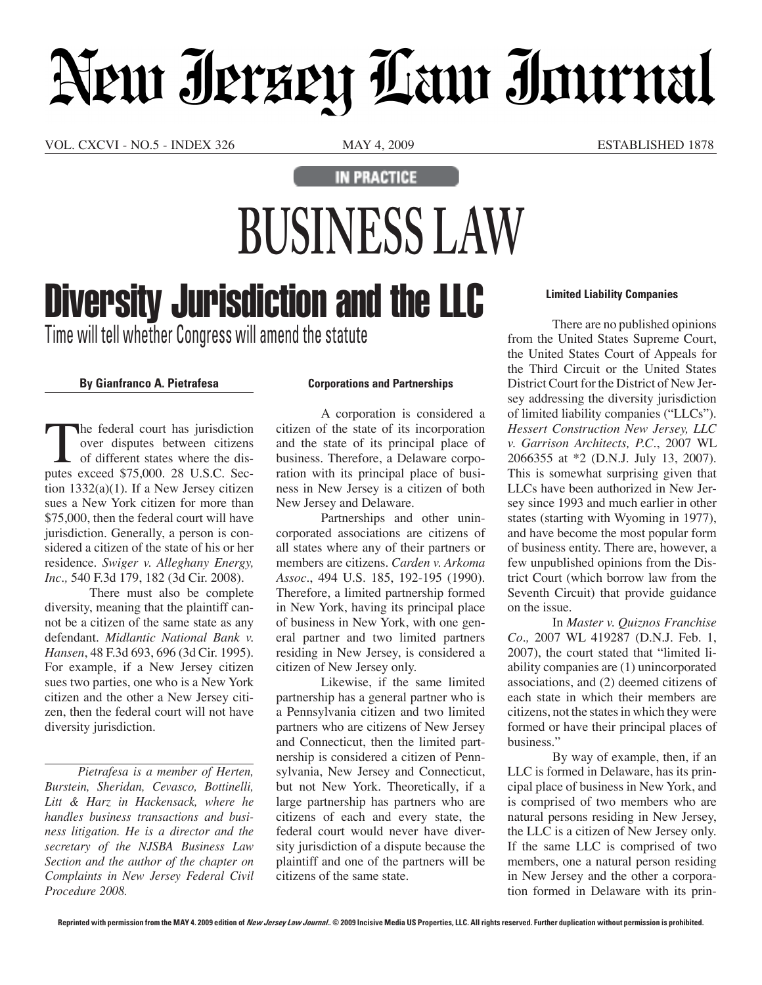# Neur Ierzey Law Immal

VOL. CXCVI - NO.5 - INDEX 326 may 4, 2009 may 4, 2009 established 1878

**IN PRACTICE** 

**BUSINESS LAW** 

# Diversity Jurisdiction and the LLC Time will tell whether Congress will amend the statute

# **By Gianfranco A. Pietrafesa**

The federal court has jurisdiction<br>over disputes between citizens<br>of different states where the dis-<br>putes exceed \$75.000. 28 U.S.C. Secover disputes between citizens of different states where the disputes exceed \$75,000. 28 U.S.C. Section 1332(a)(1). If a New Jersey citizen sues a New York citizen for more than \$75,000, then the federal court will have jurisdiction. Generally, a person is considered a citizen of the state of his or her residence. *Swiger v. Alleghany Energy, Inc.,* 540 F.3d 179, 182 (3d Cir. 2008).

There must also be complete diversity, meaning that the plaintiff cannot be a citizen of the same state as any defendant. *Midlantic National Bank v. Hansen*, 48 F.3d 693, 696 (3d Cir. 1995). For example, if a New Jersey citizen sues two parties, one who is a New York citizen and the other a New Jersey citizen, then the federal court will not have diversity jurisdiction.

 *Pietrafesa is a member of Herten, Burstein, Sheridan, Cevasco, Bottinelli, Litt & Harz in Hackensack, where he handles business transactions and business litigation. He is a director and the secretary of the NJSBA Business Law Section and the author of the chapter on Complaints in New Jersey Federal Civil Procedure 2008.*

#### **Corporations and Partnerships**

 A corporation is considered a citizen of the state of its incorporation and the state of its principal place of business. Therefore, a Delaware corporation with its principal place of business in New Jersey is a citizen of both New Jersey and Delaware.

Partnerships and other unincorporated associations are citizens of all states where any of their partners or members are citizens. *Carden v. Arkoma Assoc.*, 494 U.S. 185, 192-195 (1990). Therefore, a limited partnership formed in New York, having its principal place of business in New York, with one general partner and two limited partners residing in New Jersey, is considered a citizen of New Jersey only.

Likewise, if the same limited partnership has a general partner who is a Pennsylvania citizen and two limited partners who are citizens of New Jersey and Connecticut, then the limited partnership is considered a citizen of Pennsylvania, New Jersey and Connecticut, but not New York. Theoretically, if a large partnership has partners who are citizens of each and every state, the federal court would never have diversity jurisdiction of a dispute because the plaintiff and one of the partners will be citizens of the same state.

# **Limited Liability Companies**

There are no published opinions from the United States Supreme Court, the United States Court of Appeals for the Third Circuit or the United States District Court for the District of New Jersey addressing the diversity jurisdiction of limited liability companies ("LLCs"). *Hessert Construction New Jersey, LLC v. Garrison Architects, P.C.*, 2007 WL 2066355 at \*2 (D.N.J. July 13, 2007). This is somewhat surprising given that LLCs have been authorized in New Jersey since 1993 and much earlier in other states (starting with Wyoming in 1977), and have become the most popular form of business entity. There are, however, a few unpublished opinions from the District Court (which borrow law from the Seventh Circuit) that provide guidance on the issue.

In *Master v. Quiznos Franchise Co.,* 2007 WL 419287 (D.N.J. Feb. 1, 2007), the court stated that "limited liability companies are (1) unincorporated associations, and (2) deemed citizens of each state in which their members are citizens, not the states in which they were formed or have their principal places of business."

By way of example, then, if an LLC is formed in Delaware, has its principal place of business in New York, and is comprised of two members who are natural persons residing in New Jersey, the LLC is a citizen of New Jersey only. If the same LLC is comprised of two members, one a natural person residing in New Jersey and the other a corporation formed in Delaware with its prin-

**Reprinted with permission from the MAY 4. 2009 edition of New Jersey Law Journal.. © 2009 Incisive Media US Properties, LLC. All rights reserved. Further duplication without permission is prohibited.**